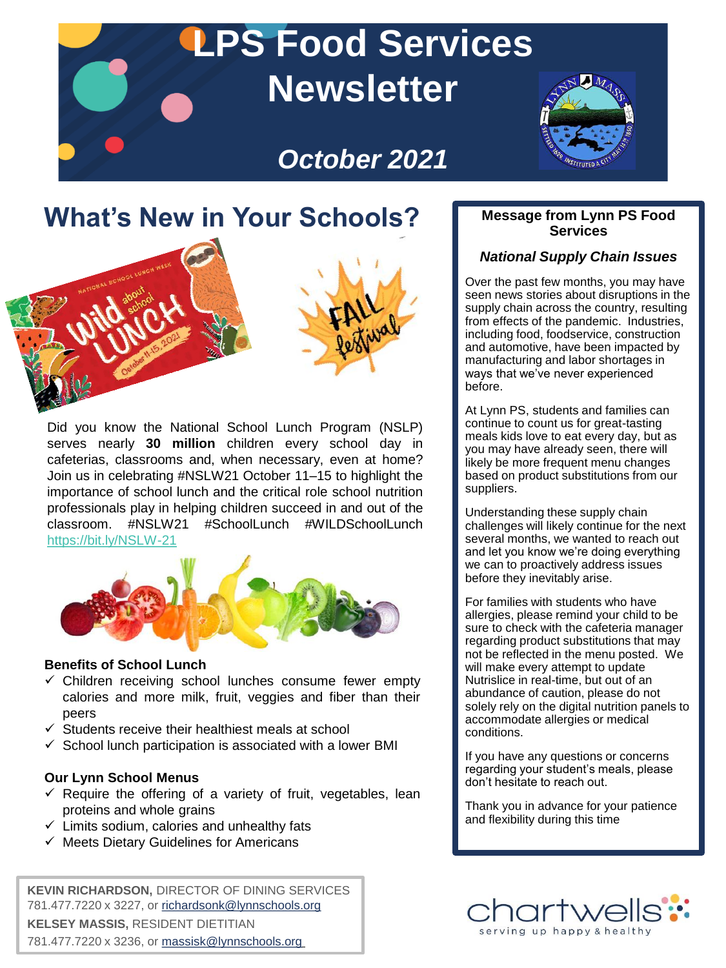# **LPS Food Services Newsletter**

# *October 2021*



# **What's New in Your Schools?**



Did you know the National School Lunch Program (NSLP) serves nearly **30 million** children every school day in cafeterias, classrooms and, when necessary, even at home? Join us in celebrating #NSLW21 October 11–15 to highlight the importance of school lunch and the critical role school nutrition professionals play in helping children succeed in and out of the classroom. #NSLW21 #SchoolLunch #WILDSchoolLunch <https://bit.ly/NSLW-21>



#### **Benefits of School Lunch**

- $\checkmark$  Children receiving school lunches consume fewer empty calories and more milk, fruit, veggies and fiber than their peers
- $\checkmark$  Students receive their healthiest meals at school
- $\checkmark$  School lunch participation is associated with a lower BMI

#### **Our Lynn School Menus**

- $\checkmark$  Require the offering of a variety of fruit, vegetables, lean proteins and whole grains
- $\checkmark$  Limits sodium, calories and unhealthy fats
- $\checkmark$  Meets Dietary Guidelines for Americans

**KEVIN RICHARDSON,** DIRECTOR OF DINING SERVICES 781.477.7220 x 3227, or [richardsonk@lynnschools.org](mailto:richardsonk@lynnschools.org) **KELSEY MASSIS,** RESIDENT DIETITIAN 781.477.7220 x 3236, or [massisk@lynnschools.org](mailto:massisk@lynnschools.org)

#### **Message from Lynn PS Food Services**

#### *National Supply Chain Issues*

Over the past few months, you may have seen news stories about disruptions in the supply chain across the country, resulting from effects of the pandemic. Industries, including food, foodservice, construction and automotive, have been impacted by manufacturing and labor shortages in ways that we've never experienced before.

meals kids love to eat every day, but as intery be more rrequent menu changes<br>based on product substitutions from our suppliers. At Lynn PS, students and families can continue to count us for great-tasting you may have already seen, there will likely be more frequent menu changes

Understanding these supply chain onderstanding these supply chain<br>challenges will likely continue for the next several months, we wanted to reach out and let you know we're doing everything we can to proactively address issues before they inevitably arise.

For families with students who have allergies, please remind your child to be sure to check with the cafeteria manager regarding product substitutions that may not be reflected in the menu posted. We will make every attempt to update Nutrislice in real-time, but out of an abundance of caution, please do not solely rely on the digital nutrition panels to accommodate allergies or medical conditions.

If you have any questions or concerns regarding your student's meals, please don't hesitate to reach out.

Thank you in advance for your patience and flexibility during this time